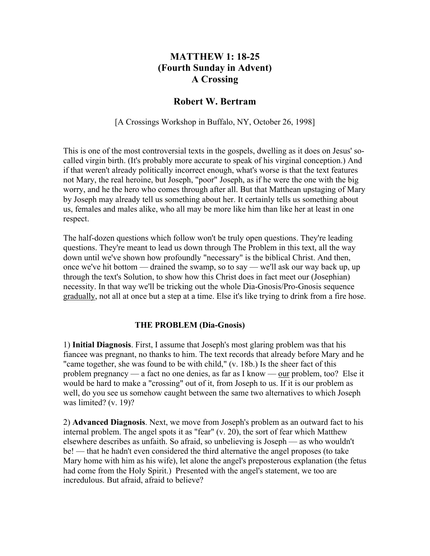## **MATTHEW 1: 18-25 (Fourth Sunday in Advent) A Crossing**

## **Robert W. Bertram**

[A Crossings Workshop in Buffalo, NY, October 26, 1998]

This is one of the most controversial texts in the gospels, dwelling as it does on Jesus' socalled virgin birth. (It's probably more accurate to speak of his virginal conception.) And if that weren't already politically incorrect enough, what's worse is that the text features not Mary, the real heroine, but Joseph, "poor" Joseph, as if he were the one with the big worry, and he the hero who comes through after all. But that Matthean upstaging of Mary by Joseph may already tell us something about her. It certainly tells us something about us, females and males alike, who all may be more like him than like her at least in one respect.

The half-dozen questions which follow won't be truly open questions. They're leading questions. They're meant to lead us down through The Problem in this text, all the way down until we've shown how profoundly "necessary" is the biblical Christ. And then, once we've hit bottom — drained the swamp, so to say — we'll ask our way back up, up through the text's Solution, to show how this Christ does in fact meet our (Josephian) necessity. In that way we'll be tricking out the whole Dia-Gnosis/Pro-Gnosis sequence gradually, not all at once but a step at a time. Else it's like trying to drink from a fire hose.

## **THE PROBLEM (Dia-Gnosis)**

1) **Initial Diagnosis**. First, I assume that Joseph's most glaring problem was that his fiancee was pregnant, no thanks to him. The text records that already before Mary and he "came together, she was found to be with child," (v. 18b.) Is the sheer fact of this problem pregnancy — a fact no one denies, as far as I know — our problem, too? Else it would be hard to make a "crossing" out of it, from Joseph to us. If it is our problem as well, do you see us somehow caught between the same two alternatives to which Joseph was limited? (v. 19)?

2) **Advanced Diagnosis**. Next, we move from Joseph's problem as an outward fact to his internal problem. The angel spots it as "fear" (v. 20), the sort of fear which Matthew elsewhere describes as unfaith. So afraid, so unbelieving is Joseph — as who wouldn't be! — that he hadn't even considered the third alternative the angel proposes (to take Mary home with him as his wife), let alone the angel's preposterous explanation (the fetus had come from the Holy Spirit.) Presented with the angel's statement, we too are incredulous. But afraid, afraid to believe?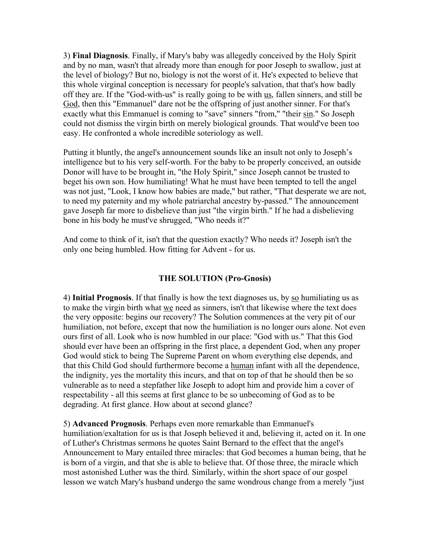3) **Final Diagnosis**. Finally, if Mary's baby was allegedly conceived by the Holy Spirit and by no man, wasn't that already more than enough for poor Joseph to swallow, just at the level of biology? But no, biology is not the worst of it. He's expected to believe that this whole virginal conception is necessary for people's salvation, that that's how badly off they are. If the "God-with-us" is really going to be with us, fallen sinners, and still be God, then this "Emmanuel" dare not be the offspring of just another sinner. For that's exactly what this Emmanuel is coming to "save" sinners "from," "their sin." So Joseph could not dismiss the virgin birth on merely biological grounds. That would've been too easy. He confronted a whole incredible soteriology as well.

Putting it bluntly, the angel's announcement sounds like an insult not only to Joseph's intelligence but to his very self-worth. For the baby to be properly conceived, an outside Donor will have to be brought in, "the Holy Spirit," since Joseph cannot be trusted to beget his own son. How humiliating! What he must have been tempted to tell the angel was not just, "Look, I know how babies are made," but rather, "That desperate we are not, to need my paternity and my whole patriarchal ancestry by-passed." The announcement gave Joseph far more to disbelieve than just "the virgin birth." If he had a disbelieving bone in his body he must've shrugged, "Who needs it?"

And come to think of it, isn't that the question exactly? Who needs it? Joseph isn't the only one being humbled. How fitting for Advent - for us.

## **THE SOLUTION (Pro-Gnosis)**

4) **Initial Prognosis**. If that finally is how the text diagnoses us, by so humiliating us as to make the virgin birth what we need as sinners, isn't that likewise where the text does the very opposite: begins our recovery? The Solution commences at the very pit of our humiliation, not before, except that now the humiliation is no longer ours alone. Not even ours first of all. Look who is now humbled in our place: "God with us." That this God should ever have been an offspring in the first place, a dependent God, when any proper God would stick to being The Supreme Parent on whom everything else depends, and that this Child God should furthermore become a human infant with all the dependence, the indignity, yes the mortality this incurs, and that on top of that he should then be so vulnerable as to need a stepfather like Joseph to adopt him and provide him a cover of respectability - all this seems at first glance to be so unbecoming of God as to be degrading. At first glance. How about at second glance?

5) **Advanced Prognosis**. Perhaps even more remarkable than Emmanuel's humiliation/exaltation for us is that Joseph believed it and, believing it, acted on it. In one of Luther's Christmas sermons he quotes Saint Bernard to the effect that the angel's Announcement to Mary entailed three miracles: that God becomes a human being, that he is born of a virgin, and that she is able to believe that. Of those three, the miracle which most astonished Luther was the third. Similarly, within the short space of our gospel lesson we watch Mary's husband undergo the same wondrous change from a merely "just